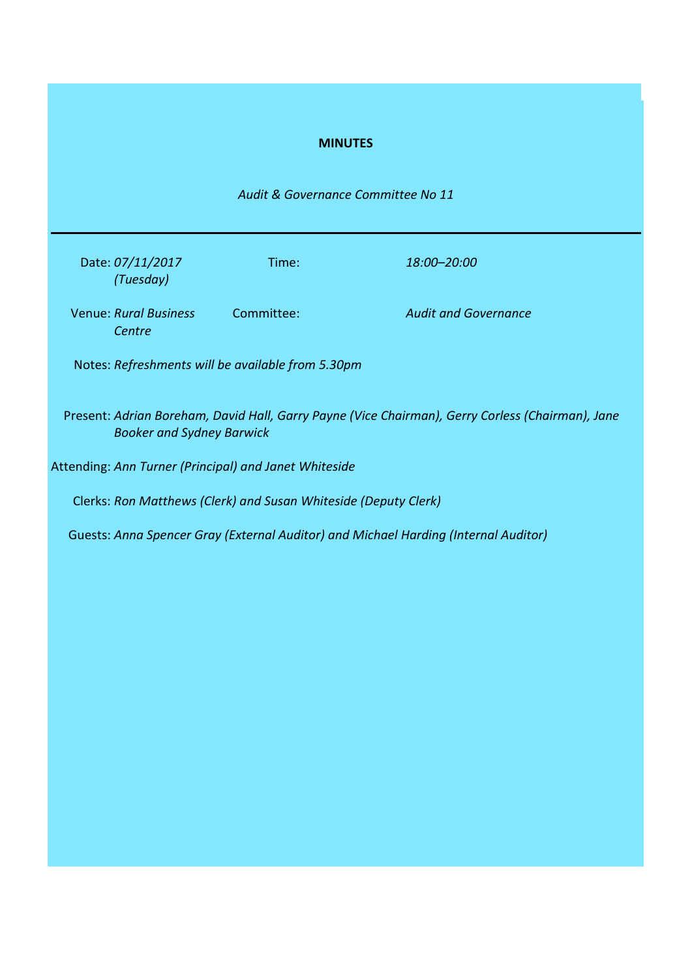## **MINUTES**

*Audit & Governance Committee No 11*

| Date: 07/11/2017<br>(Tuesday)          | Time:      | 18:00–20:00                 |
|----------------------------------------|------------|-----------------------------|
| <b>Venue: Rural Business</b><br>Centre | Committee: | <b>Audit and Governance</b> |

Notes: *Refreshments will be available from 5.30pm*

Present: *Adrian Boreham, David Hall, Garry Payne (Vice Chairman), Gerry Corless (Chairman), Jane Booker and Sydney Barwick*

Attending: *Ann Turner (Principal) and Janet Whiteside*

Clerks: *Ron Matthews (Clerk) and Susan Whiteside (Deputy Clerk)*

Guests: *Anna Spencer Gray (External Auditor) and Michael Harding (Internal Auditor)*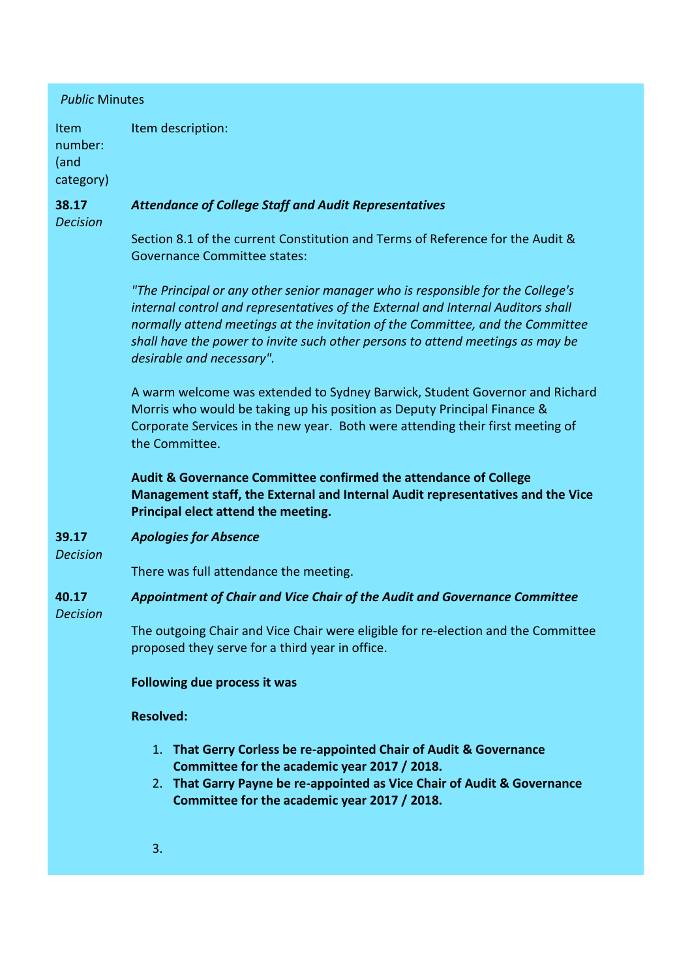| <b>Public Minutes</b>                |                                                                                                                                                                                                                                                                                                                                                                      |  |  |
|--------------------------------------|----------------------------------------------------------------------------------------------------------------------------------------------------------------------------------------------------------------------------------------------------------------------------------------------------------------------------------------------------------------------|--|--|
| Item<br>number:<br>(and<br>category) | Item description:                                                                                                                                                                                                                                                                                                                                                    |  |  |
| 38.17<br><b>Decision</b>             | <b>Attendance of College Staff and Audit Representatives</b>                                                                                                                                                                                                                                                                                                         |  |  |
|                                      | Section 8.1 of the current Constitution and Terms of Reference for the Audit &<br><b>Governance Committee states:</b>                                                                                                                                                                                                                                                |  |  |
|                                      | "The Principal or any other senior manager who is responsible for the College's<br>internal control and representatives of the External and Internal Auditors shall<br>normally attend meetings at the invitation of the Committee, and the Committee<br>shall have the power to invite such other persons to attend meetings as may be<br>desirable and necessary". |  |  |
|                                      | A warm welcome was extended to Sydney Barwick, Student Governor and Richard<br>Morris who would be taking up his position as Deputy Principal Finance &<br>Corporate Services in the new year. Both were attending their first meeting of<br>the Committee.                                                                                                          |  |  |
|                                      | Audit & Governance Committee confirmed the attendance of College<br>Management staff, the External and Internal Audit representatives and the Vice<br>Principal elect attend the meeting.                                                                                                                                                                            |  |  |
| 39.17<br><b>Decision</b>             | <b>Apologies for Absence</b>                                                                                                                                                                                                                                                                                                                                         |  |  |
|                                      | There was full attendance the meeting.                                                                                                                                                                                                                                                                                                                               |  |  |
| 40.17<br><b>Decision</b>             | Appointment of Chair and Vice Chair of the Audit and Governance Committee                                                                                                                                                                                                                                                                                            |  |  |
|                                      | The outgoing Chair and Vice Chair were eligible for re-election and the Committee<br>proposed they serve for a third year in office.                                                                                                                                                                                                                                 |  |  |
|                                      | Following due process it was                                                                                                                                                                                                                                                                                                                                         |  |  |
|                                      | <b>Resolved:</b>                                                                                                                                                                                                                                                                                                                                                     |  |  |
|                                      | 1. That Gerry Corless be re-appointed Chair of Audit & Governance<br>Committee for the academic year 2017 / 2018.<br>2. That Garry Payne be re-appointed as Vice Chair of Audit & Governance<br>Committee for the academic year 2017 / 2018.                                                                                                                         |  |  |
|                                      | 3.                                                                                                                                                                                                                                                                                                                                                                   |  |  |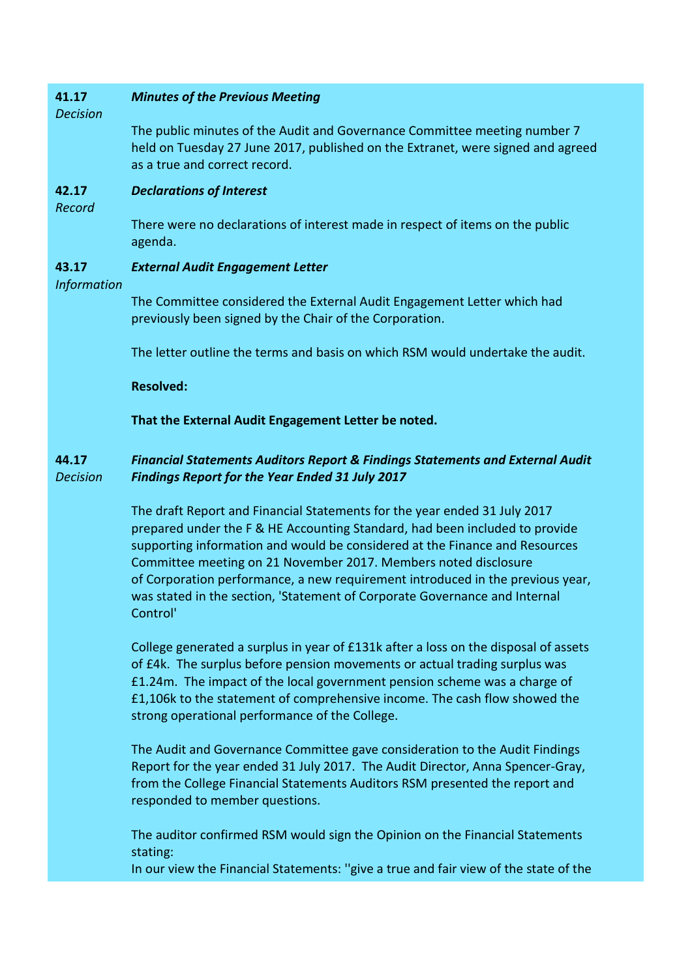#### **41.17** *Minutes of the Previous Meeting*

*Decision*

The public minutes of the Audit and Governance Committee meeting number 7 held on Tuesday 27 June 2017, published on the Extranet, were signed and agreed as a true and correct record.

**42.17** *Declarations of Interest*

*Record*

There were no declarations of interest made in respect of items on the public agenda.

#### **43.17** *External Audit Engagement Letter*

## *Information*

The Committee considered the External Audit Engagement Letter which had previously been signed by the Chair of the Corporation.

The letter outline the terms and basis on which RSM would undertake the audit.

**Resolved:**

**That the External Audit Engagement Letter be noted.**

### **44.17** *Decision Financial Statements Auditors Report & Findings Statements and External Audit Findings Report for the Year Ended 31 July 2017*

The draft Report and Financial Statements for the year ended 31 July 2017 prepared under the F & HE Accounting Standard, had been included to provide supporting information and would be considered at the Finance and Resources Committee meeting on 21 November 2017. Members noted disclosure of Corporation performance, a new requirement introduced in the previous year, was stated in the section, 'Statement of Corporate Governance and Internal Control'

College generated a surplus in year of £131k after a loss on the disposal of assets of £4k. The surplus before pension movements or actual trading surplus was £1.24m. The impact of the local government pension scheme was a charge of £1,106k to the statement of comprehensive income. The cash flow showed the strong operational performance of the College.

The Audit and Governance Committee gave consideration to the Audit Findings Report for the year ended 31 July 2017. The Audit Director, Anna Spencer-Gray, from the College Financial Statements Auditors RSM presented the report and responded to member questions.

The auditor confirmed RSM would sign the Opinion on the Financial Statements stating:

In our view the Financial Statements: ''give a true and fair view of the state of the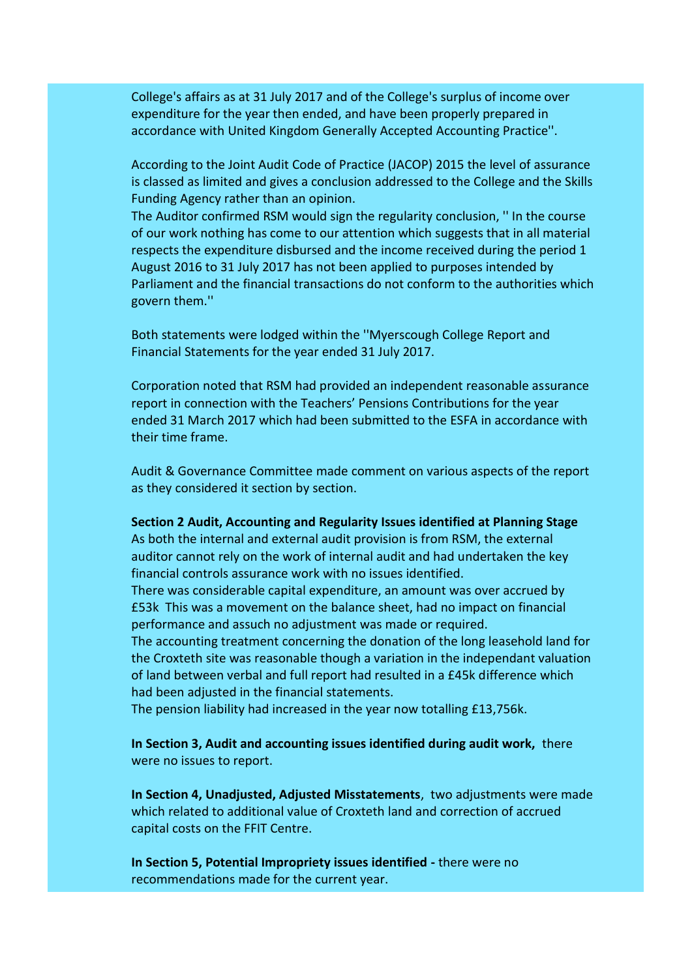College's affairs as at 31 July 2017 and of the College's surplus of income over expenditure for the year then ended, and have been properly prepared in accordance with United Kingdom Generally Accepted Accounting Practice''.

According to the Joint Audit Code of Practice (JACOP) 2015 the level of assurance is classed as limited and gives a conclusion addressed to the College and the Skills Funding Agency rather than an opinion.

The Auditor confirmed RSM would sign the regularity conclusion, '' In the course of our work nothing has come to our attention which suggests that in all material respects the expenditure disbursed and the income received during the period 1 August 2016 to 31 July 2017 has not been applied to purposes intended by Parliament and the financial transactions do not conform to the authorities which govern them.''

Both statements were lodged within the ''Myerscough College Report and Financial Statements for the year ended 31 July 2017.

Corporation noted that RSM had provided an independent reasonable assurance report in connection with the Teachers' Pensions Contributions for the year ended 31 March 2017 which had been submitted to the ESFA in accordance with their time frame.

Audit & Governance Committee made comment on various aspects of the report as they considered it section by section.

**Section 2 Audit, Accounting and Regularity Issues identified at Planning Stage**

As both the internal and external audit provision is from RSM, the external auditor cannot rely on the work of internal audit and had undertaken the key financial controls assurance work with no issues identified.

There was considerable capital expenditure, an amount was over accrued by £53k This was a movement on the balance sheet, had no impact on financial performance and assuch no adjustment was made or required.

The accounting treatment concerning the donation of the long leasehold land for the Croxteth site was reasonable though a variation in the independant valuation of land between verbal and full report had resulted in a £45k difference which had been adjusted in the financial statements.

The pension liability had increased in the year now totalling £13,756k.

**In Section 3, Audit and accounting issues identified during audit work,** there were no issues to report.

**In Section 4, Unadjusted, Adjusted Misstatements**, two adjustments were made which related to additional value of Croxteth land and correction of accrued capital costs on the FFIT Centre.

**In Section 5, Potential Impropriety issues identified -** there were no recommendations made for the current year.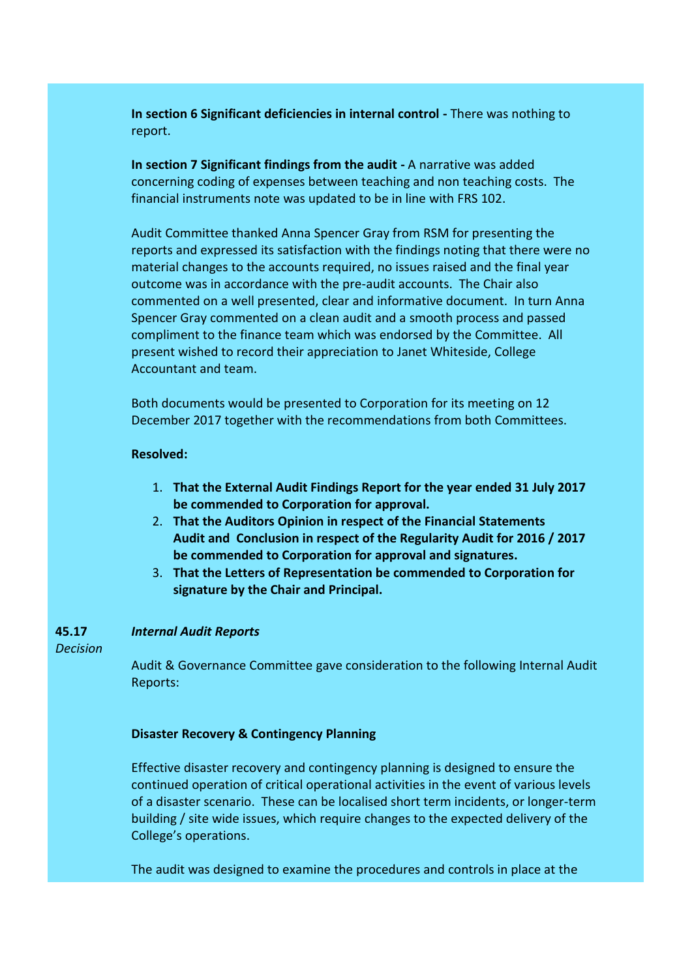**In section 6 Significant deficiencies in internal control -** There was nothing to report.

**In section 7 Significant findings from the audit -** A narrative was added concerning coding of expenses between teaching and non teaching costs. The financial instruments note was updated to be in line with FRS 102.

Audit Committee thanked Anna Spencer Gray from RSM for presenting the reports and expressed its satisfaction with the findings noting that there were no material changes to the accounts required, no issues raised and the final year outcome was in accordance with the pre-audit accounts. The Chair also commented on a well presented, clear and informative document. In turn Anna Spencer Gray commented on a clean audit and a smooth process and passed compliment to the finance team which was endorsed by the Committee. All present wished to record their appreciation to Janet Whiteside, College Accountant and team.

Both documents would be presented to Corporation for its meeting on 12 December 2017 together with the recommendations from both Committees.

### **Resolved:**

- 1. **That the External Audit Findings Report for the year ended 31 July 2017 be commended to Corporation for approval.**
- 2. **That the Auditors Opinion in respect of the Financial Statements Audit and Conclusion in respect of the Regularity Audit for 2016 / 2017 be commended to Corporation for approval and signatures.**
- 3. **That the Letters of Representation be commended to Corporation for signature by the Chair and Principal.**

### **45.17** *Internal Audit Reports*

*Decision*

Audit & Governance Committee gave consideration to the following Internal Audit Reports:

# **Disaster Recovery & Contingency Planning**

Effective disaster recovery and contingency planning is designed to ensure the continued operation of critical operational activities in the event of various levels of a disaster scenario. These can be localised short term incidents, or longer-term building / site wide issues, which require changes to the expected delivery of the College's operations.

The audit was designed to examine the procedures and controls in place at the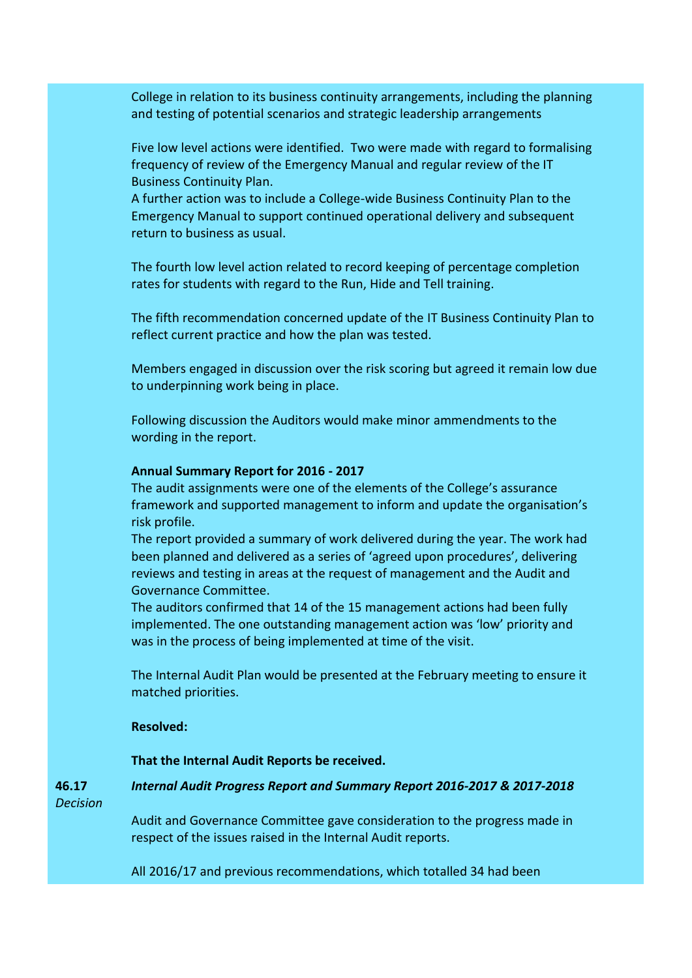College in relation to its business continuity arrangements, including the planning and testing of potential scenarios and strategic leadership arrangements

Five low level actions were identified. Two were made with regard to formalising frequency of review of the Emergency Manual and regular review of the IT Business Continuity Plan.

A further action was to include a College-wide Business Continuity Plan to the Emergency Manual to support continued operational delivery and subsequent return to business as usual.

The fourth low level action related to record keeping of percentage completion rates for students with regard to the Run, Hide and Tell training.

The fifth recommendation concerned update of the IT Business Continuity Plan to reflect current practice and how the plan was tested.

Members engaged in discussion over the risk scoring but agreed it remain low due to underpinning work being in place.

Following discussion the Auditors would make minor ammendments to the wording in the report.

## **Annual Summary Report for 2016 - 2017**

The audit assignments were one of the elements of the College's assurance framework and supported management to inform and update the organisation's risk profile.

The report provided a summary of work delivered during the year. The work had been planned and delivered as a series of 'agreed upon procedures', delivering reviews and testing in areas at the request of management and the Audit and Governance Committee.

The auditors confirmed that 14 of the 15 management actions had been fully implemented. The one outstanding management action was 'low' priority and was in the process of being implemented at time of the visit.

The Internal Audit Plan would be presented at the February meeting to ensure it matched priorities.

## **Resolved:**

## **That the Internal Audit Reports be received.**

**46.17** *Internal Audit Progress Report and Summary Report 2016-2017 & 2017-2018*

*Decision*

Audit and Governance Committee gave consideration to the progress made in respect of the issues raised in the Internal Audit reports.

All 2016/17 and previous recommendations, which totalled 34 had been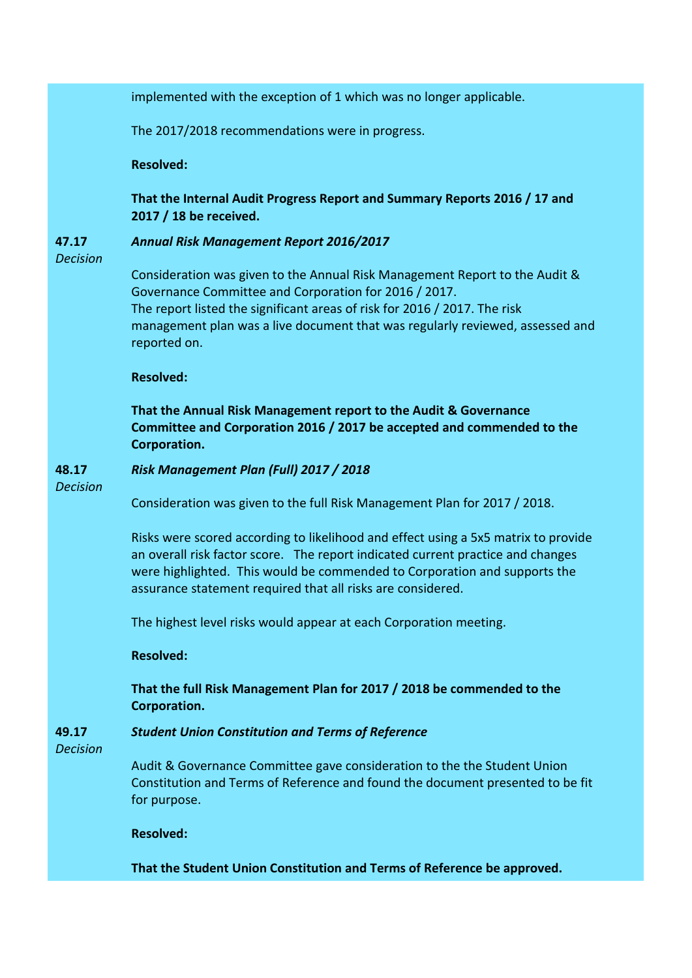implemented with the exception of 1 which was no longer applicable.

The 2017/2018 recommendations were in progress.

**Resolved:**

**That the Internal Audit Progress Report and Summary Reports 2016 / 17 and 2017 / 18 be received.**

#### **47.17** *Annual Risk Management Report 2016/2017*

*Decision*

Consideration was given to the Annual Risk Management Report to the Audit & Governance Committee and Corporation for 2016 / 2017. The report listed the significant areas of risk for 2016 / 2017. The risk management plan was a live document that was regularly reviewed, assessed and reported on.

**Resolved:**

**That the Annual Risk Management report to the Audit & Governance Committee and Corporation 2016 / 2017 be accepted and commended to the Corporation.**

#### **48.17** *Risk Management Plan (Full) 2017 / 2018*

*Decision*

Consideration was given to the full Risk Management Plan for 2017 / 2018.

Risks were scored according to likelihood and effect using a 5x5 matrix to provide an overall risk factor score. The report indicated current practice and changes were highlighted. This would be commended to Corporation and supports the assurance statement required that all risks are considered.

The highest level risks would appear at each Corporation meeting.

**Resolved:**

**That the full Risk Management Plan for 2017 / 2018 be commended to the Corporation.**

### **49.17** *Student Union Constitution and Terms of Reference*

*Decision*

Audit & Governance Committee gave consideration to the the Student Union Constitution and Terms of Reference and found the document presented to be fit for purpose.

**Resolved:**

**That the Student Union Constitution and Terms of Reference be approved.**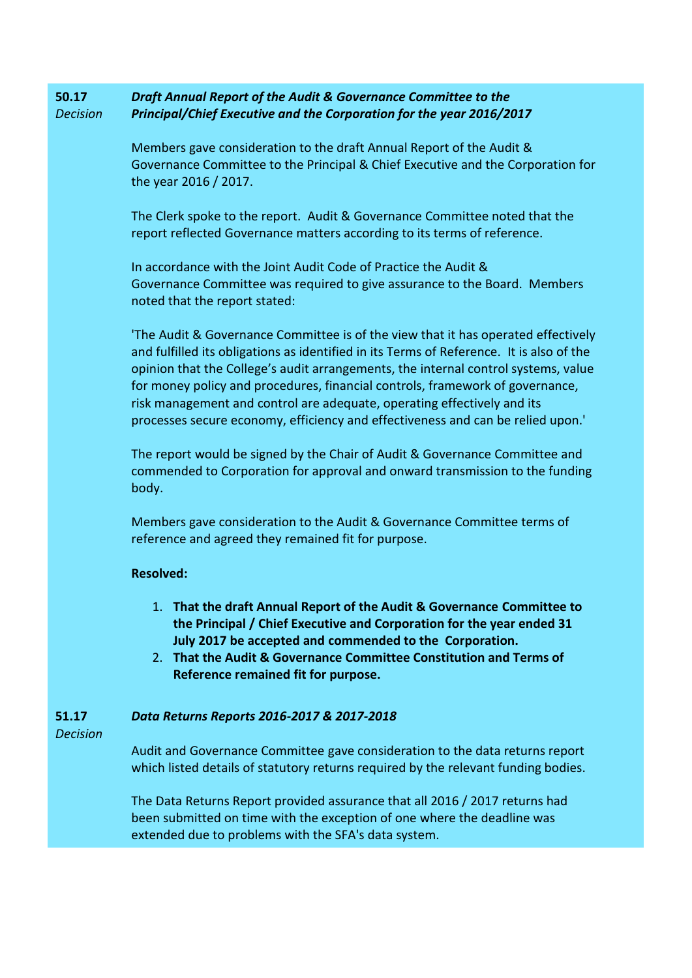### **50.17** *Decision Draft Annual Report of the Audit & Governance Committee to the Principal/Chief Executive and the Corporation for the year 2016/2017*

Members gave consideration to the draft Annual Report of the Audit & Governance Committee to the Principal & Chief Executive and the Corporation for the year 2016 / 2017.

The Clerk spoke to the report. Audit & Governance Committee noted that the report reflected Governance matters according to its terms of reference.

In accordance with the Joint Audit Code of Practice the Audit & Governance Committee was required to give assurance to the Board. Members noted that the report stated:

'The Audit & Governance Committee is of the view that it has operated effectively and fulfilled its obligations as identified in its Terms of Reference. It is also of the opinion that the College's audit arrangements, the internal control systems, value for money policy and procedures, financial controls, framework of governance, risk management and control are adequate, operating effectively and its processes secure economy, efficiency and effectiveness and can be relied upon.'

The report would be signed by the Chair of Audit & Governance Committee and commended to Corporation for approval and onward transmission to the funding body.

Members gave consideration to the Audit & Governance Committee terms of reference and agreed they remained fit for purpose.

# **Resolved:**

- 1. **That the draft Annual Report of the Audit & Governance Committee to the Principal / Chief Executive and Corporation for the year ended 31 July 2017 be accepted and commended to the Corporation.**
- 2. **That the Audit & Governance Committee Constitution and Terms of Reference remained fit for purpose.**

#### **51.17** *Data Returns Reports 2016-2017 & 2017-2018*

*Decision*

Audit and Governance Committee gave consideration to the data returns report which listed details of statutory returns required by the relevant funding bodies.

The Data Returns Report provided assurance that all 2016 / 2017 returns had been submitted on time with the exception of one where the deadline was extended due to problems with the SFA's data system.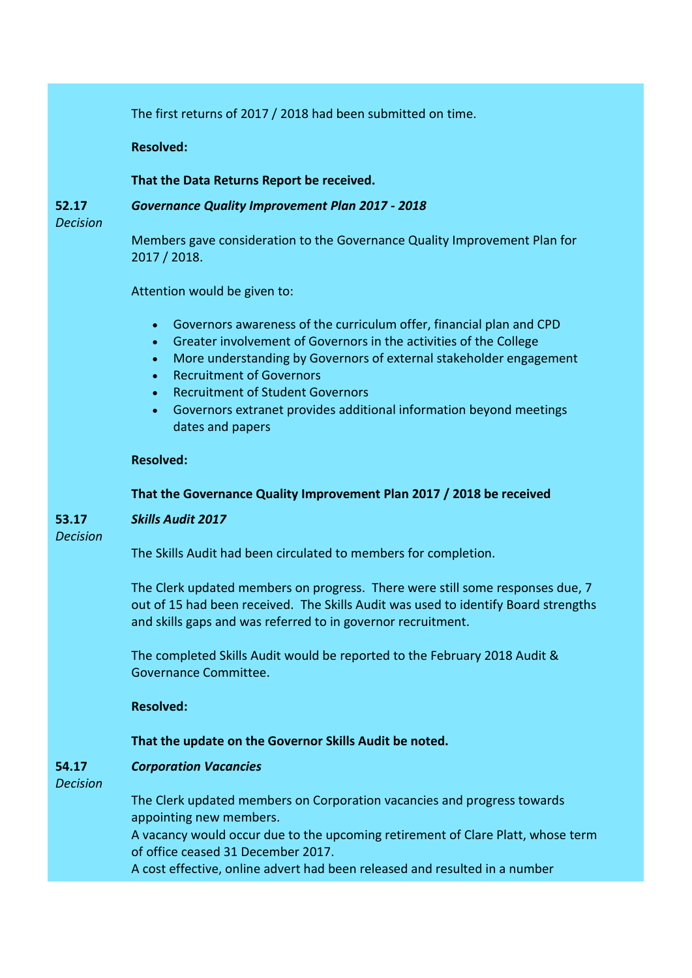The first returns of 2017 / 2018 had been submitted on time.

**Resolved:**

## **That the Data Returns Report be received.**

**52.17**

# *Governance Quality Improvement Plan 2017 - 2018*

*Decision*

Members gave consideration to the Governance Quality Improvement Plan for 2017 / 2018.

Attention would be given to:

- Governors awareness of the curriculum offer, financial plan and CPD
- Greater involvement of Governors in the activities of the College
- More understanding by Governors of external stakeholder engagement
- Recruitment of Governors
- Recruitment of Student Governors
- Governors extranet provides additional information beyond meetings dates and papers

## **Resolved:**

# **That the Governance Quality Improvement Plan 2017 / 2018 be received**

### **53.17** *Skills Audit 2017*

*Decision*

The Skills Audit had been circulated to members for completion.

The Clerk updated members on progress. There were still some responses due, 7 out of 15 had been received. The Skills Audit was used to identify Board strengths and skills gaps and was referred to in governor recruitment.

The completed Skills Audit would be reported to the February 2018 Audit & Governance Committee.

**Resolved:**

# **That the update on the Governor Skills Audit be noted.**

#### **54.17** *Corporation Vacancies*

*Decision*

The Clerk updated members on Corporation vacancies and progress towards appointing new members.

A vacancy would occur due to the upcoming retirement of Clare Platt, whose term of office ceased 31 December 2017.

A cost effective, online advert had been released and resulted in a number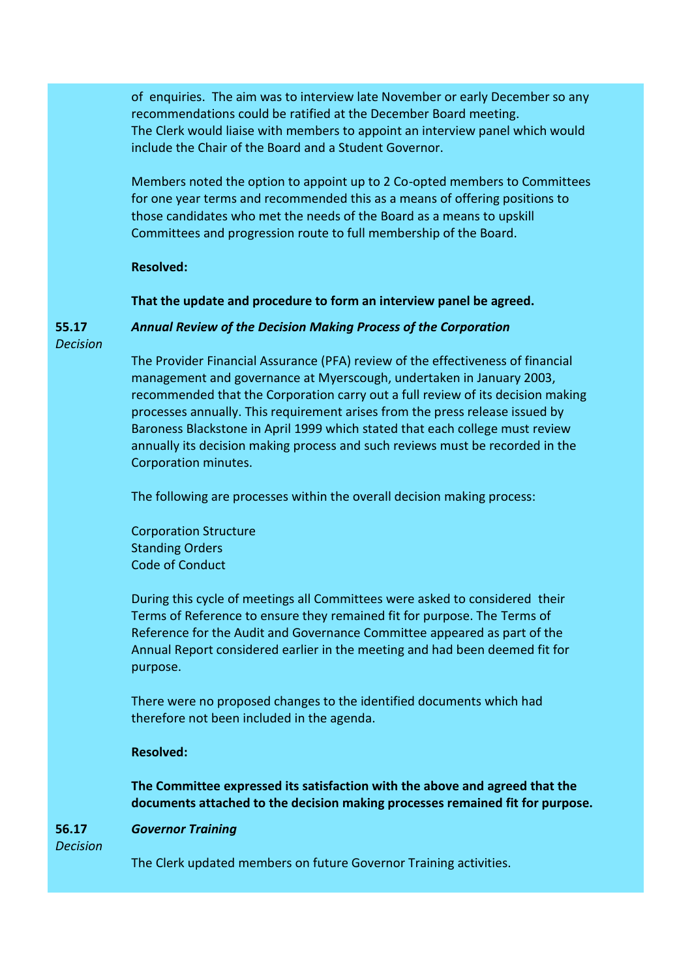of enquiries. The aim was to interview late November or early December so any recommendations could be ratified at the December Board meeting. The Clerk would liaise with members to appoint an interview panel which would include the Chair of the Board and a Student Governor.

Members noted the option to appoint up to 2 Co-opted members to Committees for one year terms and recommended this as a means of offering positions to those candidates who met the needs of the Board as a means to upskill Committees and progression route to full membership of the Board.

## **Resolved:**

**That the update and procedure to form an interview panel be agreed.**

*Annual Review of the Decision Making Process of the Corporation*

**55.17** *Decision*

> The Provider Financial Assurance (PFA) review of the effectiveness of financial management and governance at Myerscough, undertaken in January 2003, recommended that the Corporation carry out a full review of its decision making processes annually. This requirement arises from the press release issued by Baroness Blackstone in April 1999 which stated that each college must review annually its decision making process and such reviews must be recorded in the Corporation minutes.

The following are processes within the overall decision making process:

Corporation Structure Standing Orders Code of Conduct

During this cycle of meetings all Committees were asked to considered their Terms of Reference to ensure they remained fit for purpose. The Terms of Reference for the Audit and Governance Committee appeared as part of the Annual Report considered earlier in the meeting and had been deemed fit for purpose.

There were no proposed changes to the identified documents which had therefore not been included in the agenda.

# **Resolved:**

**The Committee expressed its satisfaction with the above and agreed that the documents attached to the decision making processes remained fit for purpose.**

#### **56.17** *Governor Training*

*Decision*

The Clerk updated members on future Governor Training activities.